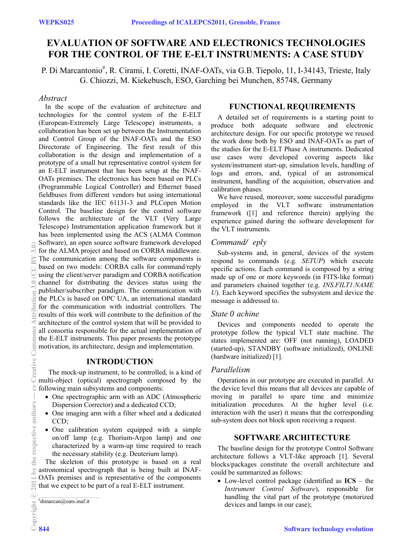# **EVALUATION OF SOFTWARE AND ELECTRONICS TECHNOLOGIES FOR THE CONTROL OF THE E-ELT INSTRUMENTS: A CASE STUDY**

P. Di Marcantonio<sup>#</sup>, R. Cirami, I. Coretti, INAF-OATs, via G.B. Tiepolo, 11, I-34143, Trieste, Italy G. Chiozzi, M. Kiekebusch, ESO, Garching bei Munchen, 85748, Germany

## *Abstract*

In the scope of the evaluation of architecture and technologies for the control system of the E-ELT (European-Extremely Large Telescope) instruments, a collaboration has been set up between the Instrumentation and Control Group of the INAF-OATs and the ESO Directorate of Engineering. The first result of this collaboration is the design and implementation of a prototype of a small but representative control system for an E-ELT instrument that has been setup at the INAF-OATs premises. The electronics has been based on PLCs (Programmable Logical Controller) and Ethernet based fieldbuses from different vendors but using international standards like the IEC 61131-3 and PLCopen Motion Control. The baseline design for the control software follows the architecture of the VLT (Very Large Telescope) Instrumentation application framework but it has been implemented using the ACS (ALMA Common Software), an open source software framework developed for the ALMA project and based on CORBA middleware. The communication among the software components is based on two models: CORBA calls for command/reply using the client/server paradigm and CORBA notification channel for distributing the devices status using the publisher/subscriber paradigm. The communication with the PLCs is based on OPC UA, an international standard for the communication with industrial controllers. The results of this work will contribute to the definition of the architecture of the control system that will be provided to all consortia responsible for the actual implementation of the E-ELT instruments. This paper presents the prototype motivation, its architecture, design and implementation.

# **INTRODUCTION**

 The mock-up instrument, to be controlled, is a kind of multi-object (optical) spectrograph composed by the following main subsystems and components:

- One spectrographic arm with an ADC (Atmospheric Dispersion Corrector) and a dedicated CCD;
- One imaging arm with a filter wheel and a dedicated CCD;
- One calibration system equipped with a simple on/off lamp (e.g. Thorium-Argon lamp) and one characterized by a warm-up time required to reach the necessary stability (e.g. Deuterium lamp).

The skeleton of this prototype is based on a real astronomical spectrograph that is being built at INAF-OATs premises and is representative of the components that we expect to be part of a real E-ELT instrument.

# dimarcan@oats.inaf.it

# **FUNCTIONAL REQUIREMENTS**

A detailed set of requirements is a starting point to produce both adequate software and electronic architecture design. For our specific prototype we reused the work done both by ESO and INAF-OATs as part of the studies for the E-ELT Phase A instruments. Dedicated use cases were developed covering aspects like system/instrument start-up, simulation levels, handling of logs and errors, and, typical of an astronomical instrument, handling of the acquisition, observation and calibration phases.

We have reused, moreover, some successful paradigms employed in the VLT software instrumentation framework ([1] and reference therein) applying the experience gained during the software development for the VLT instruments.

## *Command/ eply*

Sub-systems and, in general, devices of the system respond to commands (e.g. *SETUP*) which execute specific actions. Each command is composed by a string made up of one or more keywords (in FITS-like format) and parameters chained together (e.g. *INS.FILT1.NAME U*). Each keyword specifies the subsystem and device the message is addressed to.

## *State 0achine*

Devices and components needed to operate the prototype follow the typical VLT state machine. The states implemented are: OFF (not running), LOADED (started-up), STANDBY (software initialized), ONLINE (hardware initialized) [1].

## *Parallelism*

Operations in our prototype are executed in parallel. At the device level this means that all devices are capable of moving in parallel to spare time and minimize initialization procedures. At the higher level (i.e. interaction with the user) it means that the corresponding sub-system does not block upon receiving a request.

## **SOFTWARE ARCHITECTURE**

The baseline design for the prototype Control Software architecture follows a VLT-like approach [1]. Several blocks/packages constitute the overall architecture and could be summarized as follows:

• Low-level control package (identified as **ICS** – the *Instrument Control Software*), responsible for handling the vital part of the prototype (motorized devices and lamps in our case);

bution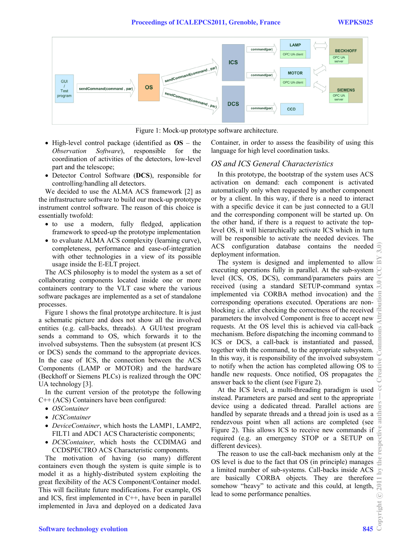

Figure 1: Mock-up prototype software architecture.

- High-level control package (identified as **OS** the *Observation Software*), responsible for the coordination of activities of the detectors, low-level part and the telescope;
- Detector Control Software (**DCS**), responsible for controlling/handling all detectors.

We decided to use the ALMA ACS framework [2] as the infrastructure software to build our mock-up prototype instrument control software. The reason of this choice is essentially twofold:

- to use a modern, fully fledged, application framework to speed-up the prototype implementation
- to evaluate ALMA ACS complexity (learning curve), completeness, performance and ease-of-integration with other technologies in a view of its possible usage inside the E-ELT project.

The ACS philosophy is to model the system as a set of collaborating components located inside one or more containers contrary to the VLT case where the various software packages are implemented as a set of standalone processes.

Figure 1 shows the final prototype architecture. It is just a schematic picture and does not show all the involved entities (e.g. call-backs, threads). A GUI/test program sends a command to OS, which forwards it to the involved subsystems. Then the subsystem (at present ICS or DCS) sends the command to the appropriate devices. In the case of ICS, the connection between the ACS Components (LAMP or MOTOR) and the hardware (Beckhoff or Siemens PLCs) is realized through the OPC UA technology [3].

In the current version of the prototype the following C++ (ACS) Containers have been configured:

- *OSContainer*
- *ICSContainer*
- *DeviceContainer*, which hosts the LAMP1, LAMP2, FILT1 and ADC1 ACS Characteristic components;
- *DCSContainer*, which hosts the CCDIMAG and CCDSPECTRO ACS Characteristic components.

The motivation of having (so many) different containers even though the system is quite simple is to model it as a highly-distributed system exploiting the great flexibility of the ACS Component/Container model. This will facilitate future modifications. For example, OS and ICS, first implemented in  $C++$ , have been in parallel implemented in Java and deployed on a dedicated Java Container, in order to assess the feasibility of using this language for high level coordination tasks.

#### *OS and ICS General Characteristics*

In this prototype, the bootstrap of the system uses ACS activation on demand: each component is activated automatically only when requested by another component or by a client. In this way, if there is a need to interact with a specific device it can be just connected to a GUI and the corresponding component will be started up. On the other hand, if there is a request to activate the toplevel OS, it will hierarchically activate ICS which in turn will be responsible to activate the needed devices. The ACS configuration database contains the needed deployment information.

The system is designed and implemented to allow executing operations fully in parallel. At the sub-system level (ICS, OS, DCS), command/parameters pairs are received (using a standard SETUP-command syntax implemented via CORBA method invocation) and the corresponding operations executed. Operations are nonblocking i.e. after checking the correctness of the received parameters the involved Component is free to accept new requests. At the OS level this is achieved via call-back mechanism. Before dispatching the incoming command to ICS or DCS, a call-back is instantiated and passed, together with the command, to the appropriate subsystem. In this way, it is responsibility of the involved subsystem to notify when the action has completed allowing OS to handle new requests. Once notified, OS propagates the answer back to the client (see Figure 2).

At the ICS level, a multi-threading paradigm is used instead. Parameters are parsed and sent to the appropriate device using a dedicated thread. Parallel actions are handled by separate threads and a thread join is used as a rendezvous point when all actions are completed (see Figure 2). This allows ICS to receive new commands if required (e.g. an emergency STOP or a SETUP on different devices).

The reason to use the call-back mechanism only at the OS level is due to the fact that OS (in principle) manages a limited number of sub-systems. Call-backs inside ACS are basically CORBA objects. They are therefore somehow "heavy" to activate and this could, at length, lead to some performance penalties.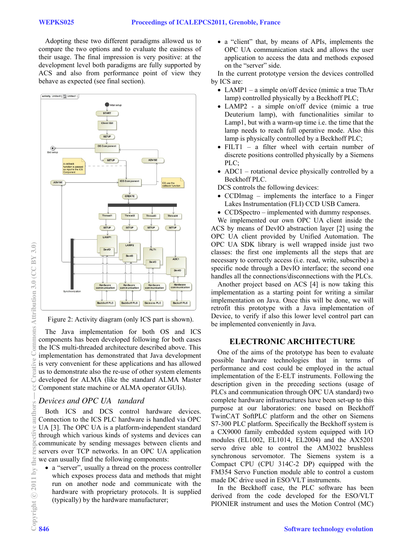Adopting these two different paradigms allowed us to compare the two options and to evaluate the easiness of their usage. The final impression is very positive: at the development level both paradigms are fully supported by ACS and also from performance point of view they behave as expected (see final section).



Figure 2: Activity diagram (only ICS part is shown).

The Java implementation for both OS and ICS components has been developed following for both cases the ICS multi-threaded architecture described above. This implementation has demonstrated that Java development is very convenient for these applications and has allowed us to demonstrate also the re-use of other system elements developed for ALMA (like the standard ALMA Master Component state machine or ALMA operator GUIs).

# *Devices and OPC UA tandard*

Both ICS and DCS control hardware devices. Connection to the ICS PLC hardware is handled via OPC UA [3]. The OPC UA is a platform-independent standard through which various kinds of systems and devices can communicate by sending messages between clients and servers over TCP networks. In an OPC UA application we can usually find the following components:

• a "server", usually a thread on the process controller which exposes process data and methods that might run on another node and communicate with the hardware with proprietary protocols. It is supplied (typically) by the hardware manufacturer;

• a "client" that, by means of APIs, implements the OPC UA communication stack and allows the user application to access the data and methods exposed on the "server" side.

In the current prototype version the devices controlled by ICS are:

- LAMP1 a simple on/off device (mimic a true ThAr lamp) controlled physically by a Beckhoff PLC;
- LAMP2 a simple on/off device (mimic a true Deuterium lamp), with functionalities similar to Lamp1, but with a warm-up time i.e. the time that the lamp needs to reach full operative mode. Also this lamp is physically controlled by a Beckhoff PLC;
- FILT1 a filter wheel with certain number of discrete positions controlled physically by a Siemens PLC;
- ADC1 rotational device physically controlled by a Beckhoff PLC.

DCS controls the following devices:

- CCDImag implements the interface to a Finger Lakes Instrumentation (FLI) CCD USB Camera.
- CCDSpectro implemented with dummy responses.

We implemented our own OPC UA client inside the ACS by means of DevIO abstraction layer [2] using the OPC UA client provided by Unified Automation. The OPC UA SDK library is well wrapped inside just two classes: the first one implements all the steps that are necessary to correctly access (i.e. read, write, subscribe) a specific node through a DevIO interface; the second one handles all the connections/disconnections with the PLCs.

Another project based on ACS [4] is now taking this implementation as a starting point for writing a similar implementation on Java. Once this will be done, we will retrofit this prototype with a Java implementation of Device, to verify if also this lower level control part can be implemented conveniently in Java.

## **ELECTRONIC ARCHITECTURE**

One of the aims of the prototype has been to evaluate possible hardware technologies that in terms of performance and cost could be employed in the actual implementation of the E-ELT instruments. Following the description given in the preceding sections (usage of PLCs and communication through OPC UA standard) two complete hardware infrastructures have been set-up to this purpose at our laboratories: one based on Beckhoff TwinCAT SoftPLC platform and the other on Siemens S7-300 PLC platform. Specifically the Beckhoff system is a CX9000 family embedded system equipped with I/O modules (EL1002, EL1014, EL2004) and the AX5201 servo drive able to control the AM3022 brushless synchronous servomotor. The Siemens system is a Compact CPU (CPU 314C-2 DP) equipped with the FM354 Servo Function module able to control a custom made DC drive used in ESO/VLT instruments.

In the Beckhoff case, the PLC software has been derived from the code developed for the ESO/VLT PIONIER instrument and uses the Motion Control (MC)